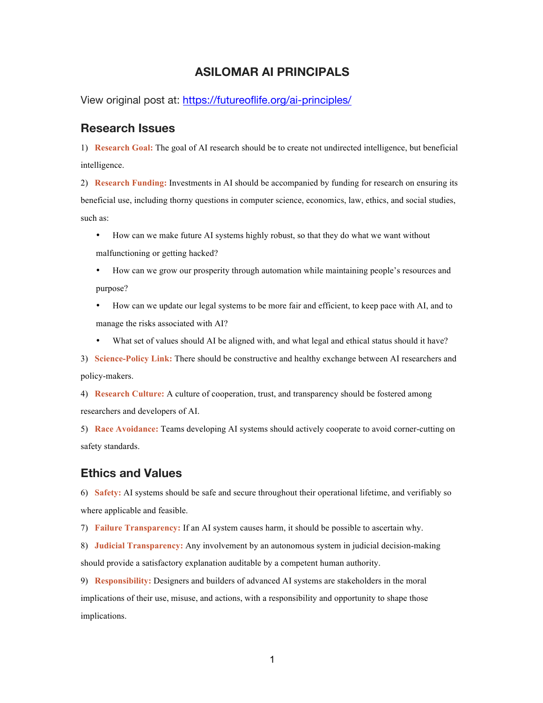## **ASILOMAR AI PRINCIPALS**

View original post at: https://futureoflife.org/ai-principles/

## **Research Issues**

1) **Research Goal:** The goal of AI research should be to create not undirected intelligence, but beneficial intelligence.

2) **Research Funding:** Investments in AI should be accompanied by funding for research on ensuring its beneficial use, including thorny questions in computer science, economics, law, ethics, and social studies, such as:

• How can we make future AI systems highly robust, so that they do what we want without malfunctioning or getting hacked?

• How can we grow our prosperity through automation while maintaining people's resources and purpose?

• How can we update our legal systems to be more fair and efficient, to keep pace with AI, and to manage the risks associated with AI?

• What set of values should AI be aligned with, and what legal and ethical status should it have?

3) **Science-Policy Link:** There should be constructive and healthy exchange between AI researchers and policy-makers.

4) **Research Culture:** A culture of cooperation, trust, and transparency should be fostered among researchers and developers of AI.

5) **Race Avoidance:** Teams developing AI systems should actively cooperate to avoid corner-cutting on safety standards.

## **Ethics and Values**

6) **Safety:** AI systems should be safe and secure throughout their operational lifetime, and verifiably so where applicable and feasible.

7) **Failure Transparency:** If an AI system causes harm, it should be possible to ascertain why.

8) **Judicial Transparency:** Any involvement by an autonomous system in judicial decision-making should provide a satisfactory explanation auditable by a competent human authority.

9) **Responsibility:** Designers and builders of advanced AI systems are stakeholders in the moral implications of their use, misuse, and actions, with a responsibility and opportunity to shape those implications.